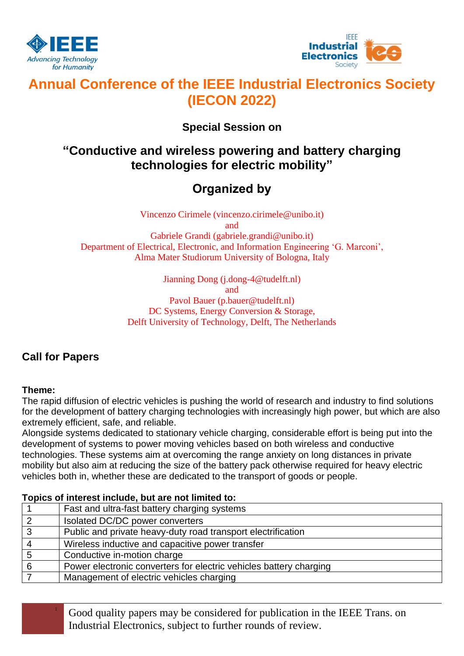



# **Annual Conference of the IEEE Industrial Electronics Society (IECON 2022)**

### **Special Session on**

## **"Conductive and wireless powering and battery charging technologies for electric mobility"**

# **Organized by**

Vincenzo Cirimele (vincenzo.cirimele@unibo.it)

and

Gabriele Grandi (gabriele.grandi@unibo.it) Department of Electrical, Electronic, and Information Engineering 'G. Marconi', Alma Mater Studiorum University of Bologna, Italy

> Jianning Dong (j.dong-4@tudelft.nl) and Pavol Bauer (p.bauer@tudelft.nl)

DC Systems, Energy Conversion & Storage, Delft University of Technology, Delft, The Netherlands

### **Call for Papers**

#### **Theme:**

The rapid diffusion of electric vehicles is pushing the world of research and industry to find solutions for the development of battery charging technologies with increasingly high power, but which are also extremely efficient, safe, and reliable.

Alongside systems dedicated to stationary vehicle charging, considerable effort is being put into the development of systems to power moving vehicles based on both wireless and conductive technologies. These systems aim at overcoming the range anxiety on long distances in private mobility but also aim at reducing the size of the battery pack otherwise required for heavy electric vehicles both in, whether these are dedicated to the transport of goods or people.

| <u>I UDICS OF INICIOSE INCIDENCE, DUE AIG TIUL INTIICU IU.</u> |                                                                    |  |
|----------------------------------------------------------------|--------------------------------------------------------------------|--|
|                                                                | Fast and ultra-fast battery charging systems                       |  |
| ာ                                                              | Isolated DC/DC power converters                                    |  |
| 3                                                              | Public and private heavy-duty road transport electrification       |  |
|                                                                | Wireless inductive and capacitive power transfer                   |  |
|                                                                | Conductive in-motion charge                                        |  |
| 6                                                              | Power electronic converters for electric vehicles battery charging |  |
|                                                                | Management of electric vehicles charging                           |  |
|                                                                |                                                                    |  |

**Topics of interest include, but are not limited to:** 

<sup>1</sup> Good quality papers may be considered for publication in the IEEE Trans. on Industrial Electronics, subject to further rounds of review.